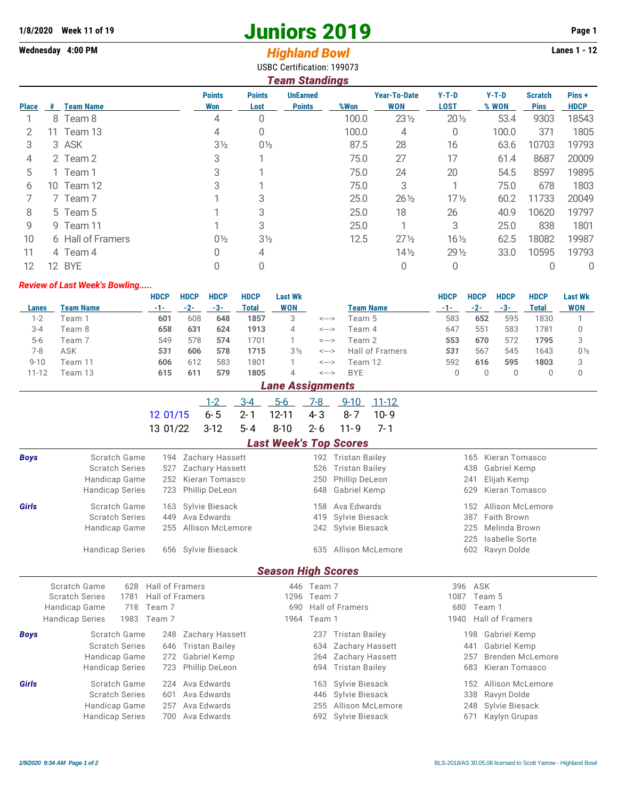# **1/8/2020 Week 11 of 19 Juniors 2019 Page 1**

# Wednesday 4:00 PM *Highland Bowl*

USBC Certification: 199073

|              |     |                   |                      |                       | <b>Team Standings</b>            |       | $Y-T-D$<br>$Y-T-D$<br><b>Year-To-Date</b><br>Pins+<br><b>Scratch</b><br><b>WON</b><br><b>LOST</b><br>% WON<br><b>HDCP</b><br><b>Pins</b><br>$23\frac{1}{2}$<br>$20\frac{1}{2}$<br>9303<br>53.4<br>18543<br>371<br>1805<br>100.0<br>4<br>0<br>28<br>16<br>10703<br>19793<br>63.6<br>27<br>17<br>8687<br>20009<br>61.4<br>24<br>8597<br>19895<br>20<br>54.5<br>3<br>75.0<br>678<br>1803<br>$17\frac{1}{2}$<br>11733<br>$26\frac{1}{2}$<br>20049<br>60.2 |                 |      |       |       |  |  |  |  |  |  |
|--------------|-----|-------------------|----------------------|-----------------------|----------------------------------|-------|-------------------------------------------------------------------------------------------------------------------------------------------------------------------------------------------------------------------------------------------------------------------------------------------------------------------------------------------------------------------------------------------------------------------------------------------------------|-----------------|------|-------|-------|--|--|--|--|--|--|
| <b>Place</b> | #   | <b>Team Name</b>  | <b>Points</b><br>Won | <b>Points</b><br>Lost | <b>UnEarned</b><br><b>Points</b> | %Won  |                                                                                                                                                                                                                                                                                                                                                                                                                                                       |                 |      |       |       |  |  |  |  |  |  |
|              |     | 8 Team 8          | 4                    |                       |                                  | 100.0 |                                                                                                                                                                                                                                                                                                                                                                                                                                                       |                 |      |       |       |  |  |  |  |  |  |
| 2            |     | 11 Team 13        | 4                    | 0                     |                                  | 100.0 |                                                                                                                                                                                                                                                                                                                                                                                                                                                       |                 |      |       |       |  |  |  |  |  |  |
| 3            |     | 3 ASK             | $3\frac{1}{2}$       | $0\frac{1}{2}$        |                                  | 87.5  |                                                                                                                                                                                                                                                                                                                                                                                                                                                       |                 |      |       |       |  |  |  |  |  |  |
| 4            |     | 2 Team 2          | 3                    |                       |                                  | 75.0  |                                                                                                                                                                                                                                                                                                                                                                                                                                                       |                 |      |       |       |  |  |  |  |  |  |
| 5            |     | 1 Team 1          | 3                    |                       |                                  | 75.0  |                                                                                                                                                                                                                                                                                                                                                                                                                                                       |                 |      |       |       |  |  |  |  |  |  |
| 6            |     | 10 Team 12        | 3                    |                       |                                  | 75.0  |                                                                                                                                                                                                                                                                                                                                                                                                                                                       |                 |      |       |       |  |  |  |  |  |  |
|              |     | 7 Team 7          |                      |                       |                                  | 25.0  |                                                                                                                                                                                                                                                                                                                                                                                                                                                       |                 |      |       |       |  |  |  |  |  |  |
| 8            |     | 5 Team 5          |                      | 3                     |                                  | 25.0  | 18                                                                                                                                                                                                                                                                                                                                                                                                                                                    | 26              | 40.9 | 10620 | 19797 |  |  |  |  |  |  |
| 9            |     | 9 Team 11         |                      | 3                     |                                  | 25.0  |                                                                                                                                                                                                                                                                                                                                                                                                                                                       | 3               | 25.0 | 838   | 1801  |  |  |  |  |  |  |
| 10           |     | 6 Hall of Framers | $0\frac{1}{2}$       | 3 <sub>2</sub>        |                                  | 12.5  | $27\frac{1}{2}$                                                                                                                                                                                                                                                                                                                                                                                                                                       | $16\frac{1}{2}$ | 62.5 | 18082 | 19987 |  |  |  |  |  |  |
| 11           |     | 4 Team 4          | 0                    | 4                     |                                  |       | $14\frac{1}{2}$                                                                                                                                                                                                                                                                                                                                                                                                                                       | $29\frac{1}{2}$ | 33.0 | 10595 | 19793 |  |  |  |  |  |  |
| 12           | 12. | <b>BYE</b>        |                      |                       |                                  |       |                                                                                                                                                                                                                                                                                                                                                                                                                                                       | 0               |      |       | 0     |  |  |  |  |  |  |

#### *Review of Last Week's Bowling.....*

|           |           | <b>HDCP</b> | <b>HDCP</b> | <b>HDCP</b> | <b>HDCP</b> | <b>Last Wk</b> |       |                 | <b>HDCP</b> | <b>HDCP</b> | <b>HDCP</b> | <b>HDCP</b> | <b>Last Wk</b> |
|-----------|-----------|-------------|-------------|-------------|-------------|----------------|-------|-----------------|-------------|-------------|-------------|-------------|----------------|
| Lanes     | Team Name | -1-         | $-2-$       | -3-         | Total       | <b>WON</b>     |       | Team Name       | $-1-$       | $-2-$       | -3-         | Total       | <b>WON</b>     |
| $1-2$     | Feam 1    | 601         | 608         | 648         | 1857        | 3              | <---> | Team 5          | 583         | 652         | 595         | 1830        |                |
| $3 - 4$   | Team 8    | 658         | 631         | 624         | 1913        | 4              | <---> | Team 4          | 647         | 551         | 583         | 1781        |                |
| $5-6$     | Team 7    | 549         | 578         | 574         | 1701        |                | <---> | Team 2          | 553         | 670         | 572         | 1795        |                |
| 7-8       | ASK       | 531         | 606         | 578         | 1715        | $3\frac{1}{2}$ | <---> | Hall of Framers | 531         | 567         | 545         | 1643        | $0\frac{1}{2}$ |
| $9 - 10$  | Team 11   | 606         | 612         | 583         | 1801        |                | <---> | Team 12         | 592         | 616         | 595         | 1803        |                |
| $11 - 12$ | Feam 13   | 615         | 611         | 579         | 1805        | 4              | <---> | <b>BYE</b>      |             |             |             |             |                |

## *Lane Assignments*

|                                     |  | <u>1-2 3-4 5-6 7-8 9-10 11-12</u> |  |  |
|-------------------------------------|--|-----------------------------------|--|--|
| 12 01/15 6-5 2-1 12-11 4-3 8-7 10-9 |  |                                   |  |  |
| 13 01/22 3-12 5-4 8-10 2-6 11-9 7-1 |  |                                   |  |  |

### *Last Week's Top Scores*

| <b>Boys</b> | Scratch Game                   | 194             | <b>Zachary Hassett</b> |      | 192                    | <b>Tristan Bailey</b>  |      | Kieran Tomasco<br>165   |  |  |  |  |
|-------------|--------------------------------|-----------------|------------------------|------|------------------------|------------------------|------|-------------------------|--|--|--|--|
|             | <b>Scratch Series</b><br>527   |                 | Zachary Hassett        |      |                        | <b>Tristan Bailey</b>  |      | 438<br>Gabriel Kemp     |  |  |  |  |
|             | Handicap Game                  | 252             | Kieran Tomasco         |      |                        | Phillip DeLeon         |      | 241<br>Elijah Kemp      |  |  |  |  |
|             | <b>Handicap Series</b>         | 723             | Phillip DeLeon         |      | 648                    | Gabriel Kemp           |      | 629<br>Kieran Tomasco   |  |  |  |  |
| Girls       | Scratch Game                   | 163             | Sylvie Biesack         | 158  |                        | Ava Edwards            |      | Allison McLemore<br>152 |  |  |  |  |
|             | <b>Scratch Series</b>          | 449             | Ava Edwards            |      | 419                    | Sylvie Biesack         |      | Faith Brown<br>387      |  |  |  |  |
|             | Handicap Game                  | 255             | Allison McLemore       |      | 242                    | Sylvie Biesack         |      | Melinda Brown<br>225    |  |  |  |  |
|             |                                |                 |                        |      |                        |                        |      | Isabelle Sorte<br>225   |  |  |  |  |
|             | <b>Handicap Series</b>         |                 | 656 Sylvie Biesack     |      | 635                    | Allison McLemore       |      | 602<br>Ravyn Dolde      |  |  |  |  |
|             | <b>Season High Scores</b>      |                 |                        |      |                        |                        |      |                         |  |  |  |  |
|             | Scratch Game<br>628            | Hall of Framers |                        | 446  | Team 7                 |                        | 396  | ASK                     |  |  |  |  |
|             | <b>Scratch Series</b><br>1781  | Hall of Framers |                        | 1296 | Team 7                 |                        | 1087 | Team 5                  |  |  |  |  |
|             | Handicap Game<br>718           | Team 7          |                        | 690  |                        | <b>Hall of Framers</b> |      | Team 1<br>680           |  |  |  |  |
|             | <b>Handicap Series</b><br>1983 | Team 7          |                        | 1964 | Team 1                 |                        | 1940 | <b>Hall of Framers</b>  |  |  |  |  |
|             |                                |                 |                        |      |                        |                        |      |                         |  |  |  |  |
| <b>Boys</b> | Scratch Game                   | 248             | <b>Zachary Hassett</b> |      | 237                    | <b>Tristan Bailey</b>  |      | Gabriel Kemp<br>198     |  |  |  |  |
|             | <b>Scratch Series</b>          | 646             | <b>Tristan Bailey</b>  |      | 634                    | Zachary Hassett        |      | Gabriel Kemp<br>441     |  |  |  |  |
|             | Handicap Game<br>272           |                 | Gabriel Kemp           |      | Zachary Hassett<br>264 |                        |      | Brenden McLemore<br>257 |  |  |  |  |
|             | <b>Handicap Series</b>         | 723             | Phillip DeLeon         |      | 694                    | Tristan Bailey         |      | Kieran Tomasco<br>683   |  |  |  |  |
| Girls       | Scratch Game                   | 224             | Ava Edwards            |      | 163                    | Sylvie Biesack         |      | Allison McLemore<br>152 |  |  |  |  |
|             | <b>Scratch Series</b><br>601   |                 | Ava Edwards            |      | Sylvie Biesack<br>446  |                        |      | 338<br>Ravyn Dolde      |  |  |  |  |
|             | Handicap Game                  | 257             | Ava Edwards            |      | 255                    | Allison McLemore       |      | Sylvie Biesack<br>248   |  |  |  |  |
|             | <b>Handicap Series</b>         | 700             | Ava Edwards            |      | 692                    | Sylvie Biesack         |      | Kaylyn Grupas<br>671    |  |  |  |  |
|             |                                |                 |                        |      |                        |                        |      |                         |  |  |  |  |